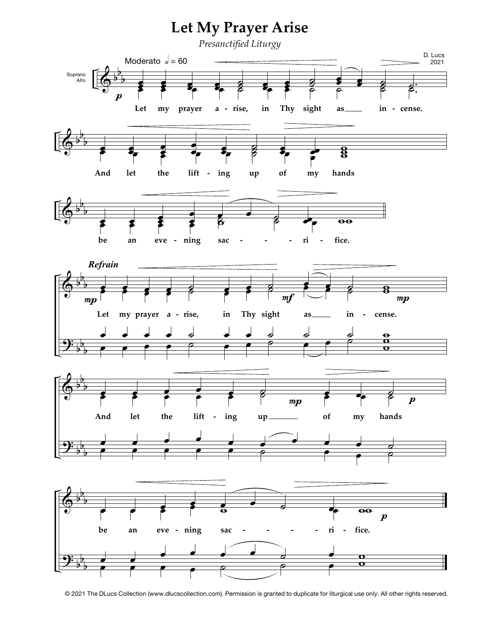

<sup>© 2021</sup> The DLucs Collection (www.dlucscollection.com). Permission is granted to duplicate for liturgical use only. All other rights reserved.